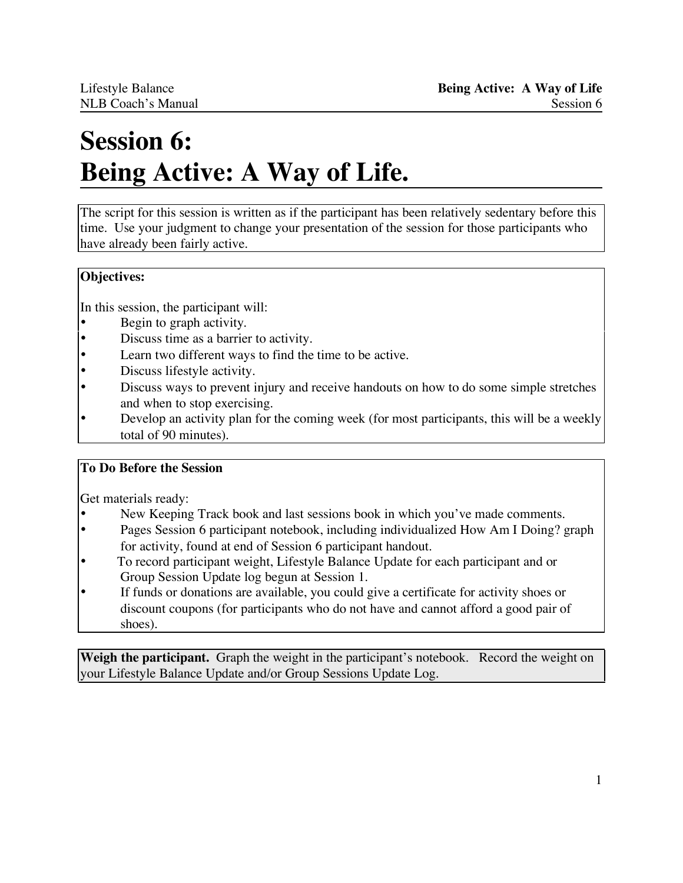# **Session 6: Being Active: A Way of Life.**

The script for this session is written as if the participant has been relatively sedentary before this time. Use your judgment to change your presentation of the session for those participants who have already been fairly active.

## **Objectives:**

In this session, the participant will:

- Begin to graph activity.
- Discuss time as a barrier to activity.
- Learn two different ways to find the time to be active.
- Discuss lifestyle activity.
- Discuss ways to prevent injury and receive handouts on how to do some simple stretches and when to stop exercising.
- Develop an activity plan for the coming week (for most participants, this will be a weekly total of 90 minutes).

## **To Do Before the Session**

Get materials ready:

- New Keeping Track book and last sessions book in which you've made comments.<br>• Pages Session 6 participant notebook including individualized How Am I Doing?
- Pages Session 6 participant notebook, including individualized How Am I Doing? graph for activity, found at end of Session 6 participant handout.
- To record participant weight, Lifestyle Balance Update for each participant and or Group Session Update log begun at Session 1.
- If funds or donations are available, you could give a certificate for activity shoes or discount coupons (for participants who do not have and cannot afford a good pair of shoes).

**Weigh the participant.** Graph the weight in the participant's notebook. Record the weight on your Lifestyle Balance Update and/or Group Sessions Update Log.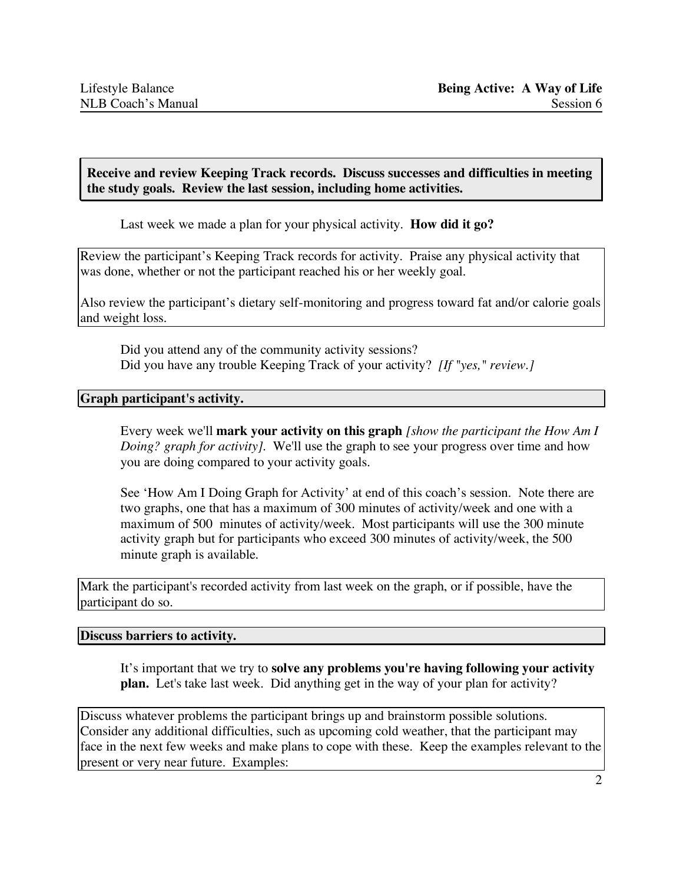**Receive and review Keeping Track records. Discuss successes and difficulties in meeting the study goals. Review the last session, including home activities.**

Last week we made a plan for your physical activity. **How did it go?**

Review the participant's Keeping Track records for activity. Praise any physical activity that was done, whether or not the participant reached his or her weekly goal.

Also review the participant's dietary self-monitoring and progress toward fat and/or calorie goals and weight loss.

Did you attend any of the community activity sessions? Did you have any trouble Keeping Track of your activity? *[If "yes," review.]*

#### **Graph participant's activity.**

Every week we'll **mark your activity on this graph** *[show the participant the How Am I Doing? graph for activity].* We'll use the graph to see your progress over time and how you are doing compared to your activity goals.

See 'How Am I Doing Graph for Activity' at end of this coach's session. Note there are two graphs, one that has a maximum of 300 minutes of activity/week and one with a maximum of 500 minutes of activity/week. Most participants will use the 300 minute activity graph but for participants who exceed 300 minutes of activity/week, the 500 minute graph is available.

Mark the participant's recorded activity from last week on the graph, or if possible, have the participant do so.

#### **Discuss barriers to activity.**

It's important that we try to **solve any problems you're having following your activity plan.** Let's take last week. Did anything get in the way of your plan for activity?

Discuss whatever problems the participant brings up and brainstorm possible solutions. Consider any additional difficulties, such as upcoming cold weather, that the participant may face in the next few weeks and make plans to cope with these. Keep the examples relevant to the present or very near future. Examples: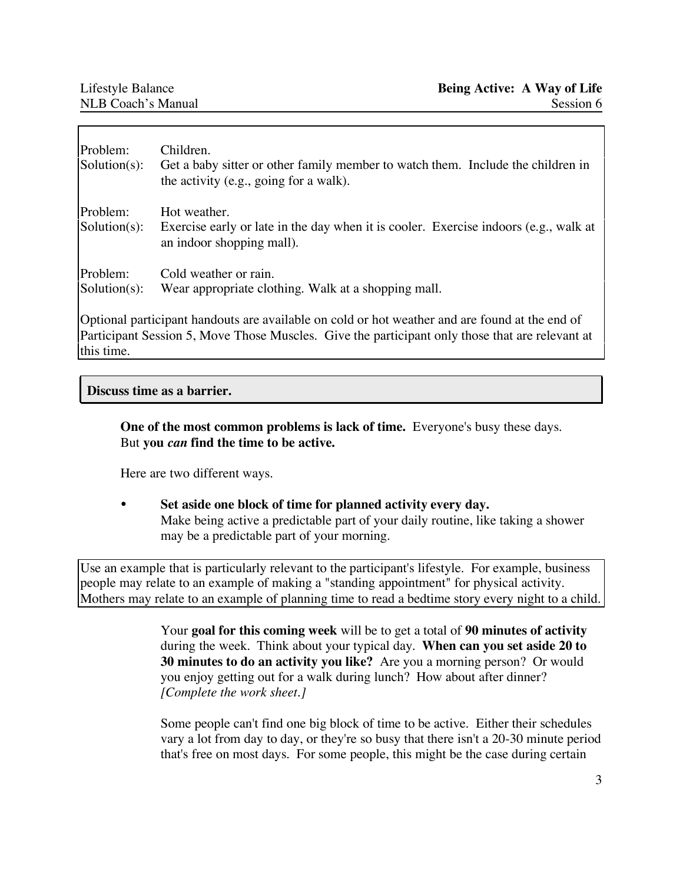| Problem:<br>$Solution(s)$ :                                                                                                                                                                                     | Children.<br>Get a baby sitter or other family member to watch them. Include the children in<br>the activity (e.g., going for a walk). |
|-----------------------------------------------------------------------------------------------------------------------------------------------------------------------------------------------------------------|----------------------------------------------------------------------------------------------------------------------------------------|
| Problem:<br>$Solution(s)$ :                                                                                                                                                                                     | Hot weather.<br>Exercise early or late in the day when it is cooler. Exercise indoors (e.g., walk at<br>an indoor shopping mall).      |
| Problem:<br>$Solution(s)$ :                                                                                                                                                                                     | Cold weather or rain.<br>Wear appropriate clothing. Walk at a shopping mall.                                                           |
| Optional participant handouts are available on cold or hot weather and are found at the end of<br>Participant Session 5, Move Those Muscles. Give the participant only those that are relevant at<br>this time. |                                                                                                                                        |

## **Discuss time as a barrier.**

**One of the most common problems is lack of time.** Everyone's busy these days. But **you** *can* **find the time to be active.**

Here are two different ways.

• **Set aside one block of time for planned activity every day.** Make being active a predictable part of your daily routine, like taking a shower may be a predictable part of your morning.

Use an example that is particularly relevant to the participant's lifestyle. For example, business people may relate to an example of making a "standing appointment" for physical activity. Mothers may relate to an example of planning time to read a bedtime story every night to a child.

> Your **goal for this coming week** will be to get a total of **90 minutes of activity** during the week. Think about your typical day. **When can you set aside 20 to 30 minutes to do an activity you like?** Are you a morning person? Or would you enjoy getting out for a walk during lunch? How about after dinner? *[Complete the work sheet.]*

Some people can't find one big block of time to be active. Either their schedules vary a lot from day to day, or they're so busy that there isn't a 20-30 minute period that's free on most days. For some people, this might be the case during certain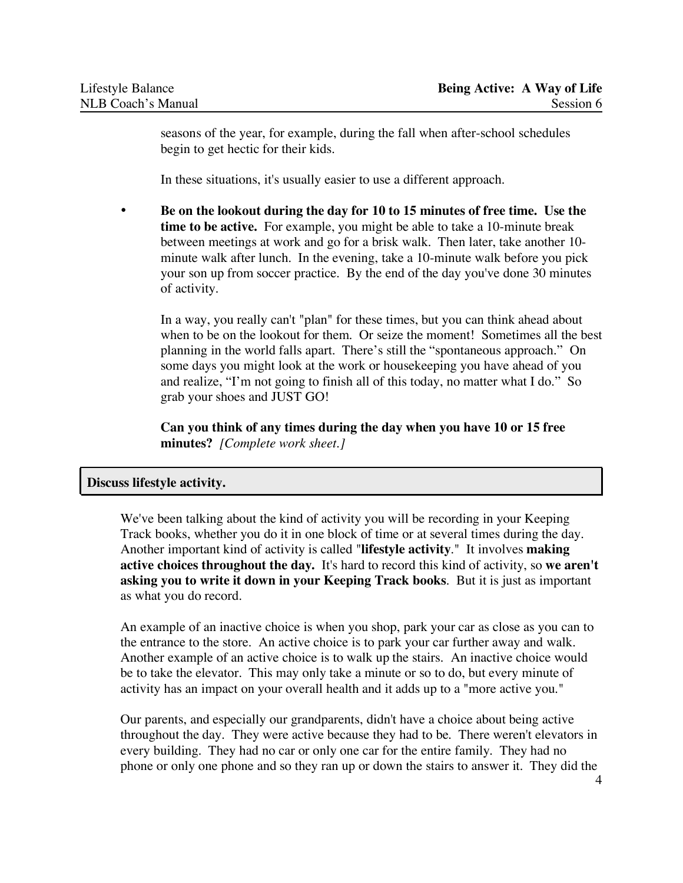seasons of the year, for example, during the fall when after-school schedules begin to get hectic for their kids.

In these situations, it's usually easier to use a different approach.

• **Be on the lookout during the day for 10 to 15 minutes of free time. Use the time to be active.** For example, you might be able to take a 10-minute break between meetings at work and go for a brisk walk. Then later, take another 10 minute walk after lunch. In the evening, take a 10-minute walk before you pick your son up from soccer practice. By the end of the day you've done 30 minutes of activity.

In a way, you really can't "plan" for these times, but you can think ahead about when to be on the lookout for them. Or seize the moment! Sometimes all the best planning in the world falls apart. There's still the "spontaneous approach." On some days you might look at the work or housekeeping you have ahead of you and realize, "I'm not going to finish all of this today, no matter what I do." So grab your shoes and JUST GO!

**Can you think of any times during the day when you have 10 or 15 free minutes?** *[Complete work sheet.]*

#### **Discuss lifestyle activity.**

We've been talking about the kind of activity you will be recording in your Keeping Track books, whether you do it in one block of time or at several times during the day. Another important kind of activity is called "**lifestyle activity**." It involves **making active choices throughout the day.** It's hard to record this kind of activity, so **we aren't asking you to write it down in your Keeping Track books**. But it is just as important as what you do record.

An example of an inactive choice is when you shop, park your car as close as you can to the entrance to the store. An active choice is to park your car further away and walk. Another example of an active choice is to walk up the stairs. An inactive choice would be to take the elevator. This may only take a minute or so to do, but every minute of activity has an impact on your overall health and it adds up to a "more active you."

Our parents, and especially our grandparents, didn't have a choice about being active throughout the day. They were active because they had to be. There weren't elevators in every building. They had no car or only one car for the entire family. They had no phone or only one phone and so they ran up or down the stairs to answer it. They did the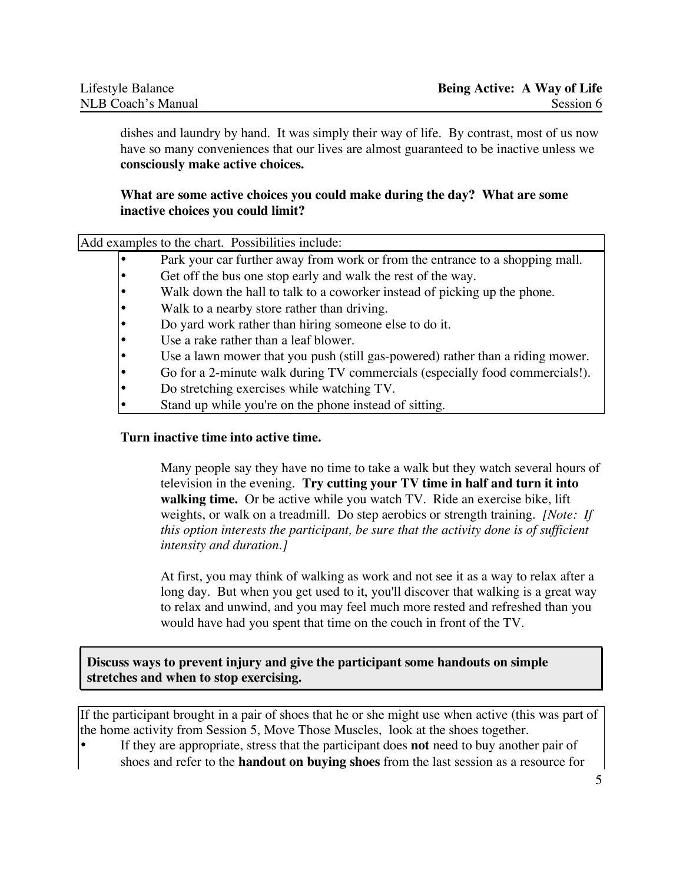dishes and laundry by hand. It was simply their way of life. By contrast, most of us now have so many conveniences that our lives are almost guaranteed to be inactive unless we **consciously make active choices.**

#### **What are some active choices you could make during the day? What are some inactive choices you could limit?**

Add examples to the chart. Possibilities include:

- Park your car further away from work or from the entrance to a shopping mall.
- Get off the bus one stop early and walk the rest of the way.
- Walk down the hall to talk to a coworker instead of picking up the phone.
- Walk to a nearby store rather than driving.
- Do yard work rather than hiring someone else to do it.
- Use a rake rather than a leaf blower.
- Use a lawn mower that you push (still gas-powered) rather than a riding mower.
- Go for a 2-minute walk during TV commercials (especially food commercials!).
- Do stretching exercises while watching TV.
- Stand up while you're on the phone instead of sitting.

#### **Turn inactive time into active time.**

Many people say they have no time to take a walk but they watch several hours of television in the evening. **Try cutting your TV time in half and turn it into walking time.** Or be active while you watch TV. Ride an exercise bike, lift weights, or walk on a treadmill. Do step aerobics or strength training. *[Note: If this option interests the participant, be sure that the activity done is of sufficient intensity and duration.]*

At first, you may think of walking as work and not see it as a way to relax after a long day. But when you get used to it, you'll discover that walking is a great way to relax and unwind, and you may feel much more rested and refreshed than you would have had you spent that time on the couch in front of the TV.

**Discuss ways to prevent injury and give the participant some handouts on simple stretches and when to stop exercising.**

If the participant brought in a pair of shoes that he or she might use when active (this was part of the home activity from Session 5, Move Those Muscles, look at the shoes together.

• If they are appropriate, stress that the participant does **not** need to buy another pair of shoes and refer to the **handout on buying shoes** from the last session as a resource for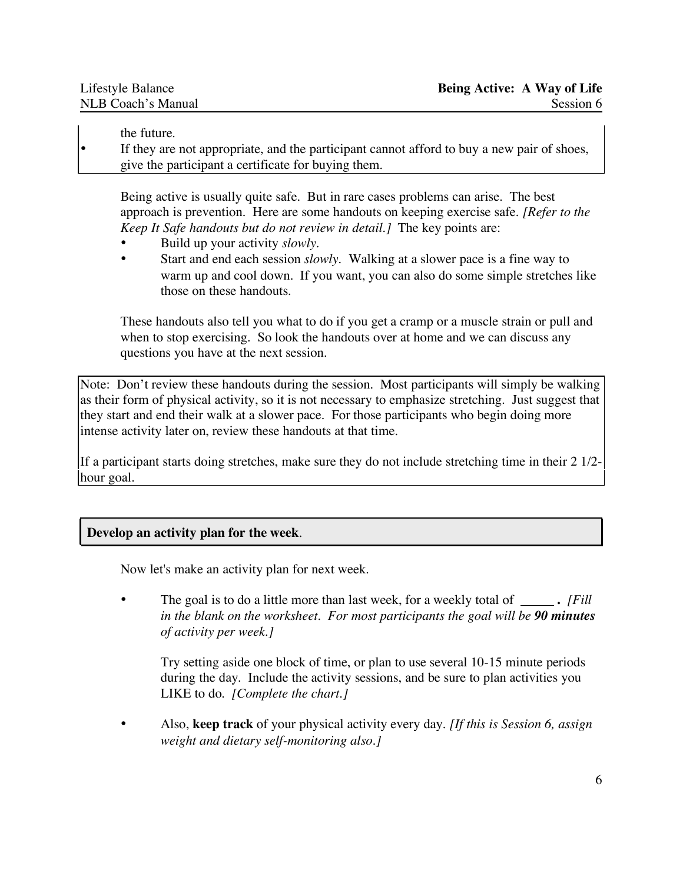the future.

• If they are not appropriate, and the participant cannot afford to buy a new pair of shoes, give the participant a certificate for buying them.

Being active is usually quite safe. But in rare cases problems can arise. The best approach is prevention. Here are some handouts on keeping exercise safe. *[Refer to the Keep It Safe handouts but do not review in detail.]* The key points are:

- Build up your activity *slowly.*
- Start and end each session *slowly*. Walking at a slower pace is a fine way to warm up and cool down. If you want, you can also do some simple stretches like those on these handouts.

These handouts also tell you what to do if you get a cramp or a muscle strain or pull and when to stop exercising. So look the handouts over at home and we can discuss any questions you have at the next session.

Note: Don't review these handouts during the session. Most participants will simply be walking as their form of physical activity, so it is not necessary to emphasize stretching. Just suggest that they start and end their walk at a slower pace. For those participants who begin doing more intense activity later on, review these handouts at that time.

If a participant starts doing stretches, make sure they do not include stretching time in their 2 1/2 hour goal.

## **Develop an activity plan for the week**.

Now let's make an activity plan for next week.

• The goal is to do a little more than last week, for a weekly total of **.** *[Fill in the blank on the worksheet. For most participants the goal will be 90 minutes of activity per week.]*

Try setting aside one block of time, or plan to use several 10-15 minute periods during the day. Include the activity sessions, and be sure to plan activities you LIKE to do. *[Complete the chart.]*

• Also, **keep track** of your physical activity every day. *[If this is Session 6, assign weight and dietary self-monitoring also.]*